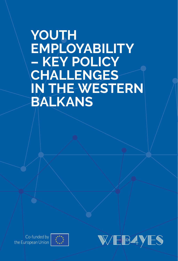# **YOUTH EMPLOYABILITY – KEY POLICY CHALLENGES IN THE WESTERN BALKANS**



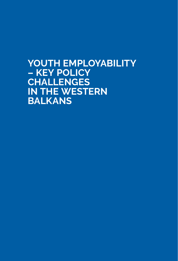# **YOUTH EMPLOYABILITY – KEY POLICY CHALLENGES IN THE WESTERN BALKANS**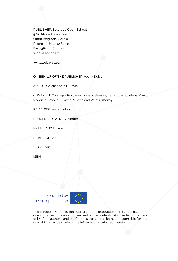PUBLISHER: Belgrade Open School 5/16 Masarikova street 11000 Belgrade, Serbia Phone: + 381 11 30 61 341 Fax: +381 11 36 13 112 Web: www.bos.rs

www.web4yes.eu

ON BEHALF OF THE PUBLISHER: Vesna Đukić

AUTHOR: Aleksandra Đurović

CONTRIBUTORS: Ajka Rovčanin, Ivona Krstevska, Irena Topalli, Jelena Manić Radoičić, Jovana Duković-Milović and Valmir Xhemajli.

REVIEWER: Ivana Aleksić

PROOFREAD BY: Ivana Andrić

PRINTED BY: Dosije

PRINT RUN: 200

YEAR: 2018

ISBN:

Co-funded by the European Union



The European Commission support for the production of this publication does not constitute an endorsement of the contents which reflects the views only of the authors, and the Commission cannot be held responsible for any use which may be made of the information contained therein.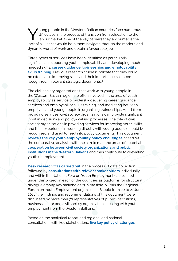Voung people in the Western Balkan countries face numerous<br>
difficulties in the process of transition from education to the<br>
labour market. One of the key barriers they encounter is the<br>
lack of skills that would belo them difficulties in the process of transition from education to the lack of skills that would help them navigate through the modern and dynamic world of work and obtain a favourable job.

Three types of services have been identified as particularly significant in supporting youth employability and developing muchneeded skills: **career guidance, traineeships and employability**  skills training. Previous research studies<sup>1</sup> indicate that they could be effective in improving skills and their importance has been recognized in relevant strategic documents.<sup>2</sup>

The civil society organizations that work with young people in the Western Balkan region are often involved in the area of youth employability as service providers<sup>3</sup> – delivering career guidance services and employability skills training, and mediating between employers and young people in organizing traineeships. Apart from providing services, civil society organizations can provide significant input in decision- and policy-making processes. The role of civil society organizations in providing services for improving youth skills, and their experience in working directly with young people should be recognized and used to feed into policy documents. This document **reviews the key youth employability policy challenges** based on the comparative analysis, with the aim to map the areas of potential **cooperation between civil society organizations and public institutions in the Western Balkans** and thus contribute to alleviating youth unemployment.

**Desk research was carried out** in the process of data collection, followed by **consultations with relevant stakeholders** individually and within the National Fora on Youth Employment established under this project in each of the countries as platforms for structural dialogue among key stakeholders in the field. Within the Regional Forum on Youth Employment organized in Skopje from 20 to 21 June 2018, the findings and recommendations of this document were discussed by more than 70 representatives of public institutions, business sector and civil society organizations dealing with youth employment from the Western Balkans.

Based on the analytical report and regional and national consultations with key stakeholders, **five key policy challenges**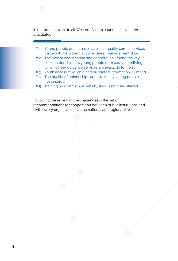in this area relevant to all Western Balkan countries have been articulated:

- # 1. Young people do not have access to quality career services that would help them acquire career management skills.
- # 2. The lack of coordination and cooperation among the key stakeholders hinders young people from easily identifying which career guidance services are available to them.
- # 3. Youth access to reliable career-related information is limited.
- #4. The quality of traineeships undertaken by young people is not ensured.
- # 5. Training on youth employability skills is not fully utilized.

Following the review of the challenges is the set of recommendations for cooperation between public institutions and civil society organizations at the national and regional level.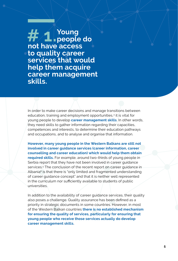**# 1.Young people do not have access to quality career services that would help them acquire career management skills.**

In order to make career decisions and manage transitions between education, training and employment opportunities,<sup>4</sup> it is vital for young people to develop **career management skills**. In other words, they need skills to gather information regarding their capacities, competences and interests, to determine their education pathways and occupations, and to analyse and organise that information.

**However, many young people in the Western Balkans are still not involved in career guidance services (career information, career counselling and career education) which would help them obtain required skills.** For example, around two-thirds of young people in Serbia report that they have not been involved in career guidance services.5 The conclusion of the recent report on career guidance in Albania<sup>6</sup> is that there is "only limited and fragmented understanding of career guidance concept" and that it is neither well represented in the curriculum nor sufficiently available to students of public universities.

In addition to the availability of career guidance services, their quality also poses a challenge. Quality assurance has been defined as a priority in strategic documents in some countries. However, in most of the Western Balkan countries **there is no established mechanism for ensuring the quality of services, particularly for ensuring that young people who receive those services actually do develop career management skills.**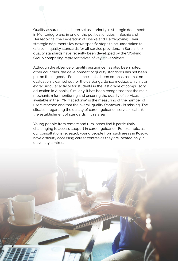Quality assurance has been set as a priority in strategic documents in Montenegro and in one of the political entities in Bosnia and Herzegovina (the Federation of Bosnia and Herzegovina). Their strategic documents lay down specific steps to be undertaken to establish quality standards for all service providers. In Serbia, the quality standards have recently been developed by the Working Group comprising representatives of key stakeholders.

Although the absence of quality assurance has also been noted in other countries, the development of quality standards has not been put on their agenda. For instance, it has been emphasized that no evaluation is carried out for the career guidance module, which is an extracurricular activity for students in the last grade of compulsory education in Albania<sup>7</sup> . Similarly, it has been recognized that the main mechanism for monitoring and ensuring the quality of services available in the FYR Macedonia<sup>8</sup> is the measuring of the number of users reached and that the overall quality framework is missing. The situation regarding the quality of career guidance services calls for the establishment of standards in this area.

Young people from remote and rural areas find it particularly challenging to access support in career guidance. For example, as our consultations revealed, young people from such areas in Kosovo have difficulty accessing career centres as they are located only in university centres.

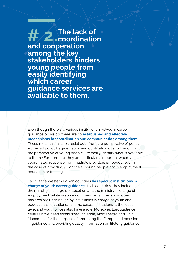**# 2.The lack of coordination and cooperation among the key stakeholders hinders young people from easily identifying which career guidance services are available to them.**

Even though there are various institutions involved in career guidance provision, there are no **established and effective mechanisms for coordination and communication among them**. These mechanisms are crucial both from the perspective of policy – to avoid policy fragmentation and duplication of effort, and from the perspective of young people – to easily identify what is available to them.9 Furthermore, they are particularly important where a coordinated response from multiple providers is needed, such in the case of providing guidance to young people not in employment, education or training.

Each of the Western Balkan countries **has specific institutions in charge of youth career guidance**. In all countries, they include the ministry in charge of education and the ministry in charge of employment, while in some countries certain responsibilities in this area are undertaken by institutions in charge of youth and educational institutions. In some cases, institutions at the local level and youth offices also have a role. Moreover, Euroguidance centres have been established in Serbia, Montenegro and FYR Macedonia for the purpose of promoting the European dimension in guidance and providing quality information on lifelong guidance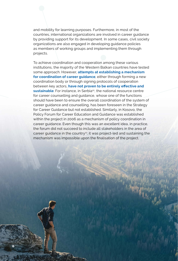and mobility for learning purposes. Furthermore, in most of the countries, international organizations are involved in career guidance by providing support for its development. In some cases, civil society organizations are also engaged in developing guidance policies as members of working groups and implementing them through projects.

To achieve coordination and cooperation among these various institutions, the majority of the Western Balkan countries have tested some approach. However, **attempts at establishing a mechanism for coordination of career guidance**, either through forming a new coordination body or through signing protocols of cooperation between key actors, **have not proven to be entirely effective and**  sustainable. For instance, in Serbia<sup>10</sup>, the national resource centre for career counselling and guidance, whose one of the functions should have been to ensure the overall coordination of the system of career guidance and counselling, has been foreseen in the Strategy for Career Guidance but not established. Similarly, in Kosovo, the Policy Forum for Career Education and Guidance was established within the project in 2006 as a mechanism of policy coordination in career guidance. Even though this was an excellent idea, in practice, the forum did not succeed to include all stakeholders in the area of career guidance in the country<sup>11</sup>; it was project-led and sustaining the mechanism was impossible upon the finalisation of the project.

**8**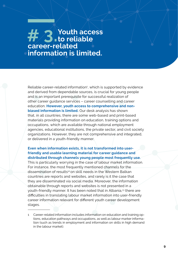# **# 3. Youth access to reliable career-related information is limited.**

Reliable career-related information<sup>1</sup>, which is supported by evidence and derived from dependable sources, is crucial for young people and is an important prerequisite for successful realization of other career guidance services – career counselling and career education. **However, youth access to comprehensive and nonbiased information is limited.** Our desk analysis has shown that, in all countries, there are some web-based and print-based materials providing information on education, training options and occupations, which are available through national employment agencies, educational institutions, the private sector, and civil society organizations. However, they are not comprehensive and integrated, or delivered in a youth-friendly manner.

#### **Even when information exists, it is not transformed into userfriendly and usable learning material for career guidance and distributed through channels young people most frequently use.**

This is particularly worrying in the case of labour market information. For instance, the most frequently mentioned channels for the dissemination of results<sup>12</sup> on skill needs in the Western Balkan countries are reports and websites, and rarely is it the case that they are disseminated via social media. Moreover, the information obtainable through reports and websites is not presented in a youth-friendly manner. It has been noted that in Albania,<sup>13</sup> there are difficulties in translating labour market information into user-friendly career information relevant for different youth career development stages.

<sup>1</sup> Career-related information includes information on education and training options, education pathways and occupations, as well as labour marker information (such as trends in employment and information on skills in high demand in the labour market).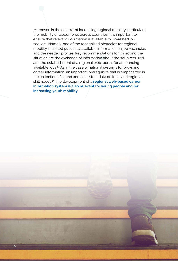Moreover, in the context of increasing regional mobility, particularly the mobility of labour force across countries, it is important to ensure that relevant information is available to interested job seekers. Namely, one of the recognized obstacles for regional mobility is limited publically available information on job vacancies and the needed profiles. Key recommendations for improving the situation are the exchange of information about the skills required and the establishment of a regional web-portal for announcing available jobs.14 As in the case of national systems for providing career information, an important prerequisite that is emphasized is the collection of sound and consistent data on local and regional skill needs.15 The development of a **regional web-based career information system is also relevant for young people and for increasing youth mobility**.

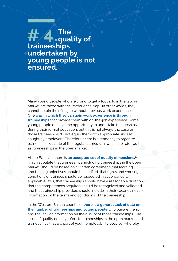**# 4. The quality of traineeships undertaken by young people is not ensured.** 

Many young people who are trying to get a foothold in the labour market are faced with the "experience trap"; in other words, they cannot obtain their first job without previous work experience. One **way in which they can gain work experience is through traineeships** that provide them with on-the-job experience. Some young people do have the opportunity to undertake traineeships during their formal education, but this is not always the case or those traineeships do not equip them with appropriate skillset sought by employers. Therefore, there is a tendency to organize traineeships outside of the regular curriculum, which are referred to as "traineeships in the open market".

At the EU level, there is **an accepted set of quality dimensions,** 16 which stipulate that traineeships, including traineeships in the open market, should be based on a written agreement, that learning and training objectives should be clarified, that rights and working conditions of trainees should be respected in accordance with applicable laws, that traineeships should have a reasonable duration, that the competences acquired should be recognized and validated and that traineeship providers should include in their vacancy notices information on the terms and conditions of the traineeship.

In the Western Balkan countries, **there is a general lack of data on the number of traineeships and young people** who pursue them, and the lack of information on the quality of those traineeships. The issue of quality equally refers to traineeships in the open market and traineeships that are part of youth employability policies, whereby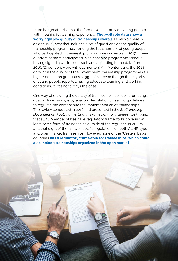there is a greater risk that the former will not provide young people with meaningful learning experience. **The available data show a worryingly low quality of traineeships overall.** In Serbia, there is an annual survey that includes a set of questions on the quality of traineeship programmes. Among the total number of young people who participated in traineeship programmes in Serbia in 2017, threequarters of them participated in at least one programme without having signed a written contract, and according to the data from 2015, 50 per cent were without mentors.17 In Montenegro, the 2014 data 18 on the quality of the Government traineeship programmes for higher education graduates suggest that even though the majority of young people reported having adequate learning and working conditions, it was not always the case.

One way of ensuring the quality of traineeships, besides promoting quality dimensions, is by enacting legislation or issuing guidelines to regulate the content and the implementation of traineeships. The review conducted in 2016 and presented in the *Staff Working Document on Applying the Quality Framework for Traineeships<sup>19</sup>* found that all 28 Member States have regulatory frameworks covering at least some form of traineeships outside of the regular curriculum and that eight of them have specific regulations on both ALMP-type and open market traineeships. However, none of the Western Balkan countries **has a regulatory framework for traineeships, which could also include traineeships organized in the open market**.

Contract

**12**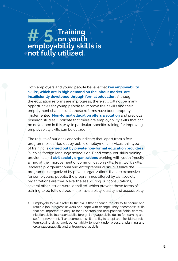# **# 5. Training on youth employability skills is not fully utilized.**

Both employers and young people believe that **key employability skills2, which are in high demand on the labour market, are insufficiently developed through formal education**. Although the education reforms are in progress, there still will not be many opportunities for young people to improve their skills and their employment chances until these reforms have been properly implemented. **Non-formal education offers a solution** and previous research studies<sup>20</sup> indicate that there are employability skills that can be developed in this way. In particular, specific training for improving employability skills can be utilized.

The results of our desk analysis indicate that, apart from a few programmes carried out by public employment services, this type of training is **carried out by private non-formal education providers**  (such as foreign language schools or IT and computer skills training providers) and **civil society organizations** working with youth (mostly aimed at the improvement of communication skills, teamwork skills, leadership, organizational and entrepreneurial skills). Unlike the programmes organized by private organizations that are expensive for some young people, the programmes offered by civil society organizations are free. Nevertheless, during our consultations, several other issues were identified, which prevent these forms of training to be fully utilized – their availability, quality and accessibility.

2 Employability skills refer to the skills that enhance the ability to secure and retain a job, progress at work and cope with change. They encompass skills that are important to acquire for all sectors and occupational fields: communication skills, teamwork skills, foreign language skills, desire for learning and self-improvement, IT and computer skills, ability to adapt and flexibility, problem-solving skills, work ethics, ability to work under pressure, planning and organizational skills and entrepreneurial skills.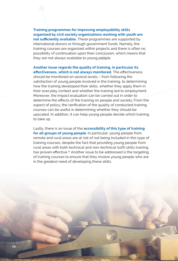**Training programmes for improving employability skills organized by civil society organizations working with youth are not sufficiently available.** These programmes are supported by international donors or through government funds. Namely, the training courses are organized within projects and there is often no possibility of continuation upon their conclusion, which means that they are not always available to young people.

**Another issue regards the quality of training, in particular its effectiveness, which is not always monitored.** The effectiveness should be monitored on several levels – from following the satisfaction of young people involved in the training, to determining how the training developed their skills, whether they apply them in their everyday context and whether the training led to employment. Moreover, the impact evaluation can be carried out in order to determine the effects of the training on people and society. From the aspect of policy, the verification of the quality of conducted training courses can be useful in determining whether they should be upscaled. In addition, it can help young people decide which training to take up.

Lastly, there is an issue of the **accessibility of this type of training for all groups of young people**. In particular, young people from remote and rural areas are at risk of not being included in this type of training courses, despite the fact that providing young people from rural areas with both technical and non-technical (soft) skills training has proven effective.<sup>21</sup> Another issue to be addressed is the targeting of training courses to ensure that they involve young people who are in the greatest need of developing these skills.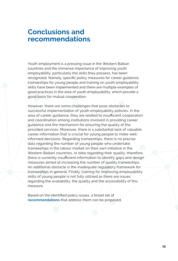### **Conclusions and recommendations**

Youth employment is a pressing issue in the Western Balkan countries and the immense importance of improving youth employability, particularly the skills they possess, has been recognized. Namely, specific policy measures for career guidance, traineeships for young people and training on youth employability skills have been implemented and there are multiple examples of good practices in the area of youth employability, which provide a good basis for mutual cooperation.

However, there are some challenges that pose obstacles to successful implementation of youth employability policies. In the area of career guidance, they are related to insufficient cooperation and coordination among institutions involved in providing career guidance and the mechanism for ensuring the quality of the provided services. Moreover, there is a substantial lack of valuable career information that is crucial for young people to make wellinformed decisions. Regarding traineeships, there is no precise data regarding the number of young people who undertake traineeships in the labour market on their own initiative in the Western Balkan countries, or data regarding their quality; therefore, there is currently insufficient information to identify gaps and design measures aimed at increasing the number of quality traineeships. An additional obstacle is the inadequate regulatory framework for traineeships in general. Finally, training for improving employability skills of young people is not fully utilized as there are issues regarding the availability, the quality and the accessibility of this measure.

Based on the identified policy issues, a broad set of **recommendations** that address them can be proposed.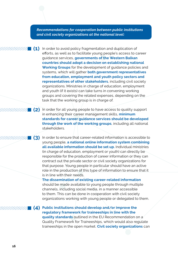*Recommendations for cooperation between public institutions and civil society organizations at the national level:* 

**(1)** In order to avoid policy fragmentation and duplication of efforts, as well as to facilitate young people's access to career guidance services, **governments of the Western Balkan countries should adopt a decision on establishing national Working Groups** for the development of guidance policies and systems, which will gather **both government representatives from education, employment and youth policy sectors and representatives of other stakeholders**, including civil society organizations. Ministries in charge of education, employment and youth (if it exists) can take turns in convening working groups and covering the related expenses, depending on the task that the working group is in charge of.

(2) In order for all young people to have access to quality support in enhancing their career management skills, **minimum standards for career guidance services should be developed through the work of the working groups**, including all national stakeholders.

(3) In order to ensure that career-related information is accessible to young people, **a national online information system combining all available information should be set up.** Individual ministries (in charge of education, employment or youth) can directly be responsible for the production of career information or they can contract out the private sector or civil society organizations for that purpose. Young people in particular should have an active role in the production of this type of information to ensure that it is in line with their needs.

> **The dissemination of existing career-related information** should be made available to young people through multiple channels, including social media, in a manner accessible to them. This can be done in cooperation with civil society organizations working with young people or delegated to them.

**Public institutions should develop and/or improve the (4)regulatory framework for traineeships in line with the quality standards** outlined in the EU Recommendation on a Quality Framework for Traineeships, which would also regulate traineeships in the open market. **Civil society organizations** can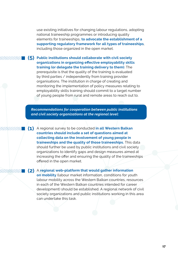use existing initiatives for changing labour regulations, adopting national traineeship programmes or introducing quality elements for traineeships, **to advocate the establishment of a supporting regulatory framework for all types of traineeships**, including those organized in the open market.

**Public institutions should collaborate with civil society (5)organizations in organizing effective employability skills training (or delegate the training delivery to them)**. The prerequisite is that the quality of the training is evaluated by third parties / independently from training provider organisations. The institution in charge of creating and monitoring the implementation of policy measures relating to employability skills training should commit to a target number of young people from rural and remote areas to reach out to.

11111

*Recommendations for cooperation between public institutions and civil society organizations at the regional level:*

A regional survey to be conducted **in all Western Balkan (1) countries should include a set of questions aimed at collecting data on the involvement of young people in traineeships and the quality of those traineeships.** This data should further be used by public institutions and civil society organizations to identify gaps and design measures aimed at increasing the offer and ensuring the quality of the traineeships offered in the open market.

A **regional web-platform that would gather information (2) on mobility** (labour market information, conditions for youth labour mobility across the Western Balkan countries, resources in each of the Western Balkan countries intended for career development) should be established. A regional network of civil society organizations and public institutions working in this area can undertake this task.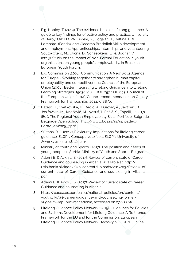- 1 E.g. Hooley, T. (2014). The evidence base on lifelong guidance: A guide to key findings for effective policy and practice. University of Derby, UK: ELGPN; Broeki, S., Hogarth, T., Baltina, L. & Lombardi (Fondazione Giacomo Brodolini) Skills development and employment: Apprenticeships, internships and volunteering; Souto-Otero, M., Ulicna, D., Schaepkens, L., & Bognar, V. (2013). Study on the impact of Non-Formal Education in youth organizations on young people's employability. In Brussels: European Youth Forum.
- 2 E.g. Commission (2016). Communication: A New Skills Agenda for Europe - Working together to strengthen human capital, employability and competitiveness; Council of the European Union (2008). Better Integrating Lifelong Guidance into Lifelong Learning Strategies. 15030/08. EDUC 257 SOC 653; Council of the European Union (2014). Council recommendation on Quality Framework for Traineeships. 2014/C 88/01.
- 3 Batelić, J., Cvetkovska, E., Dedić, A., Đurović, A., Jevtović, B., Josifovska, M., Knežević, M., Nasufi, I., Pešić, S., Topalli, I. (2017). (Ed.). The Regional Youth Employability Skills Portfolio. Belgrade: Belgrade Open School, http://www.bos.rs/rs/uploaded/ Portfolio%2025\_7.pdf
- 4 Sultana, R.G. (2012). Flexicurity. Implications for lifelong career guidance. ELGPN Concept Note No.1. ELGPN University of Jyväskylä, Finland. [Online].
- 5 Ministry of Youth and Sports. (2017). The position and needs of young people in Serbia. Ministry of Youth and Sports: Belgrade.
- 6 Ademi B. & Avxhiu, S. (2017). Review of current state of Career Guidance and counseling in Albania. Available at: [http://](http://risialbania.al/index/wp-content/uploads/2017/03/Review-of-current-state-of-Career-Guidance-and-counseling-in-Albania.pdf) [risialbania.al/index/wp-content/uploads/2017/03/Review-of](http://risialbania.al/index/wp-content/uploads/2017/03/Review-of-current-state-of-Career-Guidance-and-counseling-in-Albania.pdf)[current-state-of-Career-Guidance-and-counseling-in-Albania.](http://risialbania.al/index/wp-content/uploads/2017/03/Review-of-current-state-of-Career-Guidance-and-counseling-in-Albania.pdf) [pdf](http://risialbania.al/index/wp-content/uploads/2017/03/Review-of-current-state-of-Career-Guidance-and-counseling-in-Albania.pdf)
- 7 Ademi B. & Avxhiu, S. (2017). Review of current state of Career Guidance and counseling in Albania.
- 8 [https://eacea.ec.europa.eu/national-policies/en/content/](https://eacea.ec.europa.eu/national-policies/en/content/youthwiki/34-career-guidance-and-counselling-former-yugoslav-republic-macedonia) [youthwiki/34-career-guidance-and-counselling-former](https://eacea.ec.europa.eu/national-policies/en/content/youthwiki/34-career-guidance-and-counselling-former-yugoslav-republic-macedonia)[yugoslav-republic-macedonia](https://eacea.ec.europa.eu/national-policies/en/content/youthwiki/34-career-guidance-and-counselling-former-yugoslav-republic-macedonia), accessed on 27.08.2018.
- 9 Lifelong Guidance Policy Network (2015). Guidelines for Policies and Systems Development for Lifelong Guidance: A Reference Framework for the EU and for the Commission. European Lifelong Guidance Policy Network. Jyväskylä: ELGPN. [Online].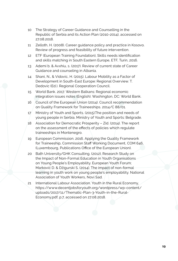- 10 The Strategy of Career Guidance and Counselling in the Republic of Serbia and its Action Plan (2010-2014), accessed on 27.08.2018.
- 11 Zelloth, H. (2008). Career guidance policy and practice in Kosovo. Review of progress and feasibility of future intervention.
- 12 ETF (European Training Foundation), Skills needs identification and skills matching in South Eastern Europe, ETF, Turin, 2016.
- 13 Ademi b. & Avxhiu, s. (2017). Review of current state of Career Guidance and counseling in Albania.
- 14 Shani, N., & Vidovic, H. (2015). Labour Mobility as a Factor of Development in South-East Europe: Regional Overview. T. Dedovic (Ed.). Regional Cooperation Council.
- 15 World Bank. 2017. Western Balkans: Regional economic integration issues notes (English). Washington, DC: World Bank.
- 16 Council of the European Union (2014). Council recommendation on Quality Framework for Traineeships. 2014/C 88/01.
- 17 Ministry of Youth and Sports. (2015).The position and needs of young people in Serbia. Ministry of Youth and Sports: Belgrade.
- 18 Association for Democratic Prosperity Zid. (2014). The report on the assessment of the effects of policies which regulate traineeships in Montenegro.
- 19 European Commission. 2016. Applying the Quality Framework for Traineeship, Commission Staff Working Document, COM 646, (Luxembourg, Publications Office of the European Union).
- 20 Bath University/GHK Consulting. (2012). Research Study on the Impact of Non-Formal Education in Youth Organisations on Young People's Employability. European Youth Forum; Marković D. & Džigurski S. (2014). The impact of non-formal learning in youth work on young people's employability. National Association of Youth Workers, Novi Sad.
- 21 International Labour Association. Youth in the Rural Economy, https://www.decentjobsforyouth.org/wordpress/wp-content/ uploads/2017/11/Thematic-Plan-3-Youth-in-the-Rural-Economy.pdf, p.7, accessed on 27.08.2018.